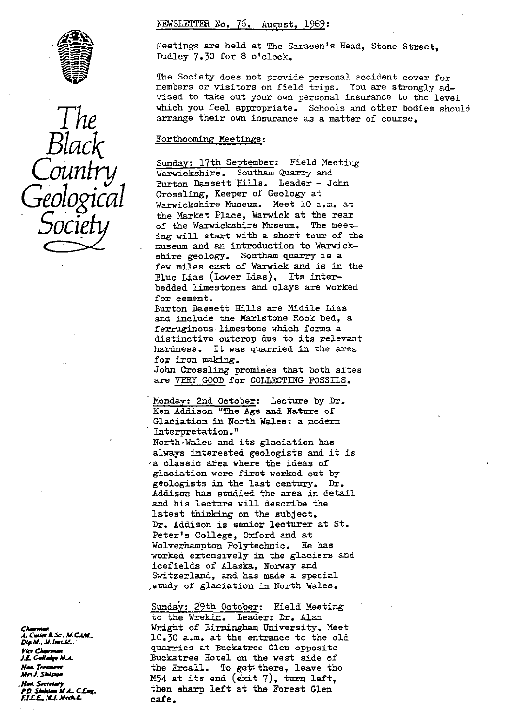#### NEWSLETTER No. 76. August, 1989:



ThE Black ileetings are held at The Saracen's Head, Stone Street, Dudley 7.30 for 8 o'clock.

The Society does not provide personal accident cover for members or visitors on field trips. You are strongly advised to take out your own personal insurance to the level which you feel appropriate. Schools and other bodies should arrange their own insurance as a matter of course.

#### Forthcoming Meetings :

Sunday: 17th September: Field Meeting<br>Warwickshire. Southam Quarry and Burton Dassett Hills. Leader - John Crossling, Keeper of Geology at Warwickshire Museum. Meet 10 a.m. at the Market Place, Warwick at the rear<br>of the Warwickshire Museum. The meet-OCIPTY of the Warwickshire Museum. The meet-<br>ing will start with a short tour of the museum and an introduction to Warwickshire geology. Southam quarry is a few miles east of Warwick and is in the Blue Lias (Lower Lias). Its interbedded limestones and clays are worked for cement.

> Burton Dassett Hills are Middle Lias and include the Marlstone Hock bed, a ferruginous limestone which forms a distinctive outcrop due to its relevant hardness. It was quarried in the area for iron making.

> John Crossling promises that both sites are VERY GOOD for COLLECTING FOSSILS .

Monday: 2nd October: Lecture by Dr. Ken Addison "The Age and Nature of Glaciation in North Wales: a modern Interpretation." North•Wales and its glaciation has always interested geologists and it is : a classic area where the ideas of glaciation were first worked out by geologists in the last century. Dr. Addison has studied the area in detail and his lecture will describe the and his lecture while describe to the subject. Dr. Addison is senior lecturer at St. Peter's College, Oxford and at Wolverhampton Polytechnic. He has worked extensively in the glaciers and icefields of Alaska, Norway and Switzerland, and has made a special ,study of glaciation in North Wales.

Sunday: 29th October: Field Meeting to the Wrekin. Leader: Dr. Alan Wright of Birmingham University. Meet . *M.* 10.30 a.m. at the entrance to the old rwrC *xw* quarries at Buckatree Glen opposite J.E Geledy M.A. Suckatree Hotel on the west side of<br>
Hea. Treaser (the formula in the Ercall, To get there, leave the the Ercall. To get there, leave the M54 at its end (exit 7), turn left, then sharp left at the Forest Glen<br>cafe.

Dis.M., M.JASLM. un R.Sc., M.C.LM., .<br>P.D. Stalsson M.A., C.Eng., *J.* 

ftF*L.* .wt..v <sup>E</sup> cafe.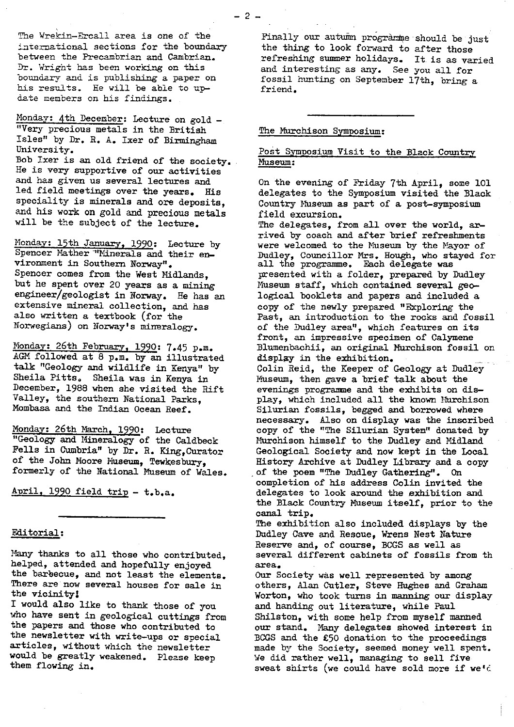The Wrekin-Ercall area is one of the international sections for the boundary between the Precambrian and Cambrian. Dr. Wright has been working on this boundary and is publishing a paper on his results. He will be able to update members on his findings.

Monday: 4th December: Lecture on gold -*"Very precious* metals in the British Isles" by Dr. R. A. Ixer of Birmingham University.

Bob Ixer is an old friend of the society. He is very supportive of our activities and has given us several lectures and led field meetings over the years. His speciality is minerals and ore deposits, and his work on gold and precious metals will be the subject of the lecture.

Monday: 15th January, 1990: Lecture by Spencer Mather "Minerals and their environment in Southern Norway". Spencer comes from the West Midlands, but he spent over 20 years as a mining engineer/geologist in Norway. He has an extensive mineral collection, and has also written a textbook (for the Norwegians) on Norway's mineralogy.

Monday: 26th February, 1990: 7.45 p.m. AGM followed at 8 p.m. by an illustrated talk "Geology and wildlife in Kenya" by Sheila Pitts, Sheila was in Kenya in December, 1988 when she visited the Rift Valley, the southern National Parks, Mombasa and the Indian Ocean Reef.

Monday: 26th March, 1990: Lecture "Geology and Mineralogy of the Caldbeck Fells in Cumbria" by Dr. R. King,Curator of the John Moore Museum, Tewkesbury, formerly of the National Museum of Wales.

April, 1990 field trip - t.b.a.

#### Editorial:

Many thanks to all those who contributed, helped, attended and hopefully enjoyed the barbecue, and not least the elements. There are now several houses for sale in the vicinity!

I would also like to thank those of you who have sent in geological cuttings from the papers and those who contributed to the newsletter with write-ups or special articles, without which the newsletter would be greatly weakened. Please keep them flowing in.

Finally our autumn programme should be just the thing to look forward to after those refreshing summer holidays. It is as varied and interesting as any. See you all for fossil hunting on September 17th, bring a friend.

#### The Murchison Symposium:

## Post Symposium Visit to the Black Country Museum :

On the evening of Friday 7th April, some 101 delegates to the Symposium visited the Black Country Museum as part of a post-symposium field excursion.

The delegates, from all over the world, arrived by coach and after brief refreshments were welcomed to the Museum by the Mayor of Dudley, Councillor Mrs. Hough, who stayed for all the programme. Each delegate was presented with a folder, prepared by Dudley Museum staff, which contained several geological booklets and papers and included a copy of the newly prepared "Exploring the Past, an introduction to the rocks and fossil of the Dudley area", which features on its front, an impressive specimen of Calymene Blumenbachii, an original Murchison fossil on display in the exhibition. Colin Reid, the Keeper of Geology at Dudley Museum, then gave a brief talk about the evenings programme and the exhibits on display, which included all the known Murchison Silurian fossils, begged and borrowed where necessary. Also on display was the inscribed copy of the "The Silurian System" donated by Murchison himself to the Dudley and Midland Geological Society and now kept in the Local History Archive at Dudley Library and a copy of the poem "The Dudley Gathering". On completion of his address Colin invited the delegates to look around the exhibition *and* the Black Country Museum itself, prior to the canal trip. The exhibition also included displays by the

Dudley Cave and Rescue, Wrens Nest Nature Reserve and, of course, BCGS as well as several different cabinets of fossils from th area, -

Our Society was well represented by among others, Alan Cutler, Steve Hughes and Graham Worton, who took turns in manning our display and handing out literature, while Paul Shilston, with some help from myself manned our stand. *Many* delegates showed interest in BOGS and the E50 donation to the proceedings made by the Society, seemed money well spent. We did rather well, managing to sell five sweat shirts (we could have sold more if we'd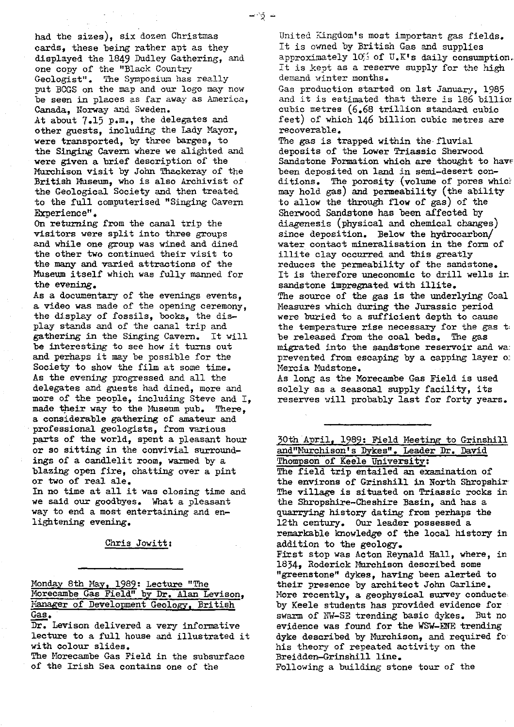had the sizes), six dozen Christmas cards, these being rather apt as they displayed the 1849 Dudley Gathering, and one copy of the "Black Country Geologist". The Symposium has really put BOGS on the map and our logo may now be seen in places as far away as America, Canada, Norway and Sweden. At about 7.15 p.m., the delegates and other guests, including the Lady Mayor, were transported, by three barges, to the Singing Cavern where we alighted and were given a brief description of the Murchison visit by John Thackeray of the British Museum, who is also Archivist of the Geological Society and then treated to the full computerised "Singing Cavern Experience".

On returning from the canal trip the visitors were split into three groups and while one group was wined and dined the other two continued their visit to the many and varied attractions of the Museum itself which was fully manned for the evening.

As a documentary of the evenings events, a video was made of the opening ceremony, the display of fossils, books, the display stands and of the canal trip and gathering in the Singing Cavern. It will be interesting to see how it turns out and perhaps it may be possible for the Society to show the film at some time. As the evening progressed and all the delegates and guests had dined, more and more of the people, including Steve and I, made their way to the Museum pub. There, a considerable gathering of amateur and professional geologists, from various parts of the world, spent a pleasant hour or so sitting in the convivial surroundings of a candlelit room, warmed by a blazing open fire, chatting over a pint or two of real ale.

In no time at all it was closing time and we said our goodbyes. What a pleasant way to end a most entertaining and enlightening evening.

#### Chris Jowitt :

Monday 8th May, 1989: Lecture "The Morecambe Gas Field" by Dr. Alan Levison, Manager of Development Geology, British Gas. y 8th May, 1989: Lecture "The ambe Gas Field" by Dr. Alan Press, 1989.<br>The Cas Field" by Dr. Alan Press of Development Geology, Br.

Dr. Levison delivered a very informative lecture to a full house and illustrated it with colour slides.

The Morecambe Gas Field in the subsurface of the Irish Sea contains one of the

United Kingdom's most important gas fields. It is owned by British Gas and supplies approximately  $10\%$  of U.K's daily consumption. It is kept as a reserve supply for the high demand winter months.

Gas production started on 1st January, 1985 and it is estimated that there is 186 billion cubic metres (6.68 trillion standard cubic feet) of which 146 billion cubic metres are recoverable.

The gas is trapped within the fluvial deposits of the Lower Triassic Sherwood Sandstone Formation which are thought to have been deposited on land in semi-desert conditions. The porosity (volume of pores whicl may hold gas) and permeability (the ability to allow the through flow of gas) of the Sherwood Sandstone has been affected by diagenesis (physical and chemical changes) since deposition. Below the hydrocarbon/ water contact mineralisation in the form of illite clay occurred and this greatly reduces the permeability of the sandstone. It is therefore uneconomic to drill wells in sandstone impregnated with illite. The source of the gas is the underlying Coal Measures which during the Jurassic period were buried to a sufficient depth to cause the temperature rise necessary for the gas t; be released from the coal beds. The gas migrated into the sandstone reservoir and wa: prevented from escaping by a capping layer of Mercia Mudstone.

As long as the Morecambe Gas Field is used solely as a seasonal supply facility, its reserves will probably last for forty years.

30th April, 1989: Field Meeting to Grinshill and"Murchison's Dykes". Leader Dr. David Thompson of Keele University: The field trip entailed an examination of the environs of Grinshill in North Shropshir The village is situated on Triassic rocks in the Shropshire--Cheshire Basin, and has a quarrying history dating from perhaps the 12th century. Our leader possessed a. remarkable knowledge of the local history in addition to the geology. First stop was Acton Reynald Hall, where, in 1834, Roderick Murchison described some "greenstone" dykes, having been alerted to their presence by architect John Carline. More recently, a geophysical survey conducte. by Keele students has provided evidence for swarm of NW-SE trending basic dykes. But no evidence was found for the WSW-ENE trending dyke described by Murchison, and required for his theory of repeated activity on the Breidden-Grinshill line. Following a building stone tour of the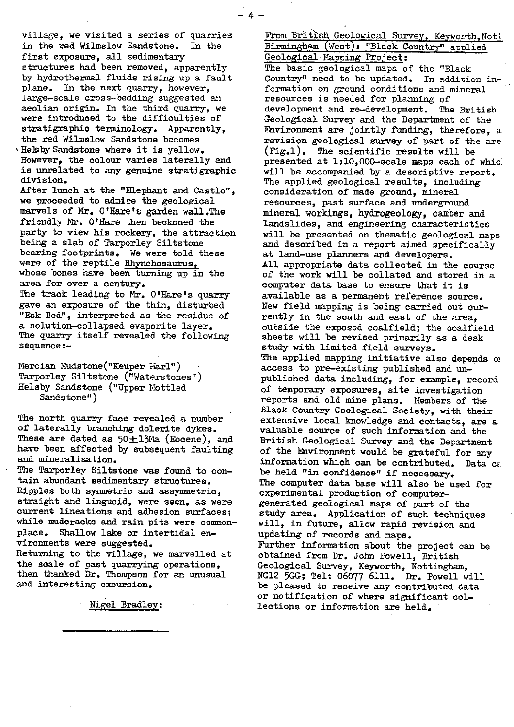village, we visited a series of quarries in the red Wilmslow Sandstone. In the first exposure, all sedimentary structures had been removed, apparently by hydrothermal fluids rising up a fault plane. In the next quarry, however, large-scale cross-bedding suggested an aeolian origin. In the third quarry, we were introduced to the difficulties of stratigraphic terminology. Apparently, the red Wilmslow Sandstone becomes

 $\lambda$  He ${\tt Is}$  by Sandstone where it is yellow. However, the colour varies laterally and is unrelated to any genuine stratigraphic division.

After lunch at the "Elephant and Castle", we proceeded to admire the geological marvels of Mr. O'Hare's garden wall.The friendly Mr. O'Hare then beckoned the party to view his rockery, the attraction being a slab of Tarporley Siltstone bearing footprints. We were told these were of the reptile Rhynchosaurus, whose bones have been turning up in the area for over a century.

The track leading to Mr. O'Hare's quarry gave an exposure of the thin, disturbed "Psk Bed", interpreted as the residue of a solution-collapsed evaporite layer. The quarry itself revealed the following sequence:-

Mercian Mudstone("Keuper Marl") Tarporley Siltstone ("Waterstones") Heisby Sandstone ("Upper Mottled Sandstone")

The north quarry face revealed a number of laterally branching dolerite dykes. These are dated as  $50 \pm 13$ Ma (Eocene), and have been affected by subsequent faulting and mineralisation.

The Tarporley Siltstone was found to contain abundant sedimentary structures. Ripples both symmetric and assymmetric, straight and linguoid, were seen, as were current lineations and adhesion surfaces; while mudcracks and rain pits were commonplace. Shallow lake or intertidal environments were suggested. Returning to the village, we marvelled at the scale of past quarrying operations, then thanked Dr. Thompson for an unusual and interesting excursion.

Nigel Bradley:

From British Geological Survey, Kevworth.Nott Birmingham (West): "Black Country" applied Geological Mapping Project: The basic geological maps of the "Black Country" need to be updated. In addition information on ground conditions and mineral resources is needed for planning of development and re-development. The British Geological Survey and the Department of the Environment are jointly funding, therefore, a revision geological survey of part of the are  $(fig.1)$ . The scientific results will be presented at 1:10,000-scale maps each of whic: will be accompanied by a descriptive report. The applied geological results, including consideration of made ground, mineral resources, past surface and underground mineral workings, hydrogeology, camber and landslides, and engineering characteristics will be presented on thematic geological maps and described in a report aimed specifically at land-use planners and developers. All appropriate data collected in the course of the work will be collated and stored in a computer data base to ensure that it is available as a permanent reference source. New field. mapping is being carried out currently in the south and east of the area, outside the exposed coalfield; the coalfield sheets will be revised primarily as a desk study with limited field surveys. The applied mapping initiative also depends or access to pre-existing published and unpublished data including, for example, record of temporary exposures, site investigation reports and old mine plans. Members of the Black Country Geological Society, with their extensive local knowledge and contacts, are a valuable source of such information and the British Geological Survey and the Department of the Environment would be grateful for any information which can be contributed. Data can be held "in confidence" if necessary. The computer data base will also be used for experimental production of computergenerated geological maps of part of the study area. Application of such techniques will, in future, allow rapid revision and updating of records and maps. Further information about the project can be obtained from Dr. John Powell, British Geological Survey, Keyworth, Nottingham, NG12 5GG; Tel: 06077 6111. Dr. Powell will be pleased to receive any contributed data or notification of where significant collections or information are held.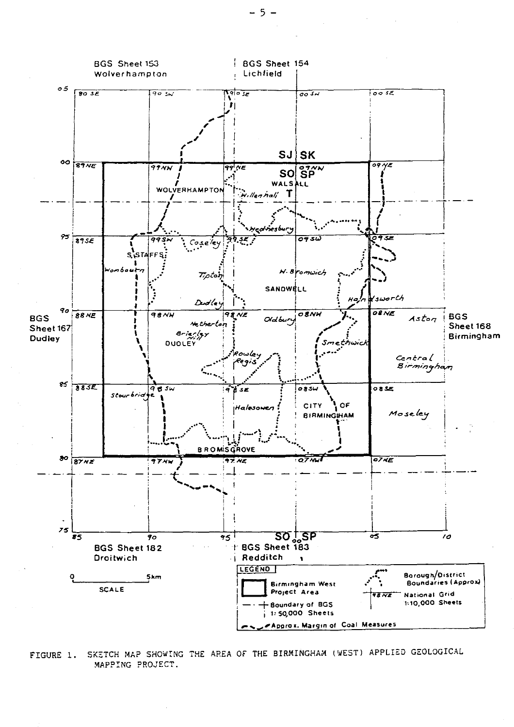

FIGURE 1. SKETCH MAP SHOWING THE AREA OF THE BIRMINGHAM (WEST) APPLIED GEOLOGICAL MAPPING PROJECT.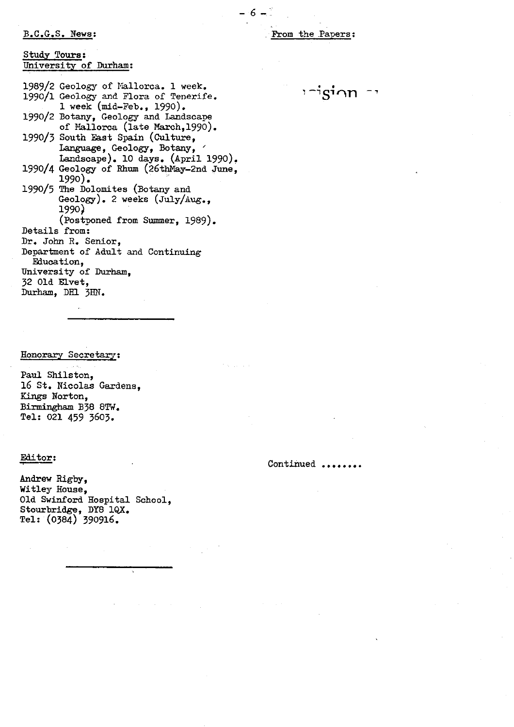#### B.C.G.S. News [:](news:)

-6-:

#### Study Tours : University of Durham :

1989/2 Geology of Mallorca. 1 week. 1990/1 Geology and Flora of Tenerife. 1 week (mid-Feb., 1990). 1990/2 Botany, Geology and Landscape of Hallorca (late March,1990). 1990/3 South East Spain (Culture, Language, Geology, Botany, Landscape). 10 days. (April 1990). 1990/4 Geology of Rhum (26thNay-2nd June, 1990). 1 <sup>99</sup>0/5 The Dolomites (Botany and Geology). 2 weeks (July/Aug., 1990) (Postponed from Summer, 1989). Details from: Dr. John R. Senior, Department of Adult and Continuing Fduoation, University of Durham, 32 Old Elvet, Durham, DH1 3HN.

# Honorar<sup>y</sup> Secretary:

Paul Shilston, 16 St. Nicolas Gardens, **Kings** Norton, Birmingham B38 8TW. Tel: 021 459 3603.

### Editor:

Andrew Rigby, Witley House, Old Swinford Hospital School, Stourbridge, DY8 1QX. Tel: (038 4) 390916.

 $i$ - $i$ s $i$ on  $-i$ 

# Continued ......,.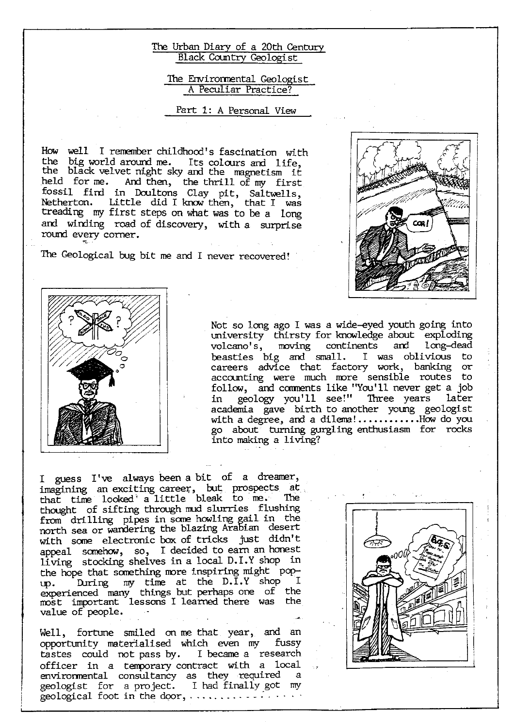## The Urban Diary of a 20th Century Black Country Geologist

## The Environmental Geologist A Peculiar Practice?

# Part 1: A Personal View

How well I remember childhood's fascination with the big world around me. Its colours and life, the black velvet night sky and the magnetism it held for me. And then, the thrill of my first fossil find in Doultons Clay pit, Saltwells, Netherton. Little did I know then, that I was treading my first steps on what was to be a long and winding road of discovery, with a surprise round every corner.

The Geological bug bit me and I never recovered!





Not so long ago I was a wide-eyed youth going into university thirsty for knowledge about exploding<br>volcano's, moving continents and long-dead volcano's, moving continents beasties big and small. I was oblivious to careers advice that factory work, banking or accounting were much more sensible routes to follow, and comments like "You'll never get a job in geology you'll see!" Three years later academia gave birth to another young geologist with a degree, and a dilema! ............How do you go about turning gurgling enthusiasm for rocks *into* making a living?

I guess I've always been a bit of a dreamer, imagining an exciting career, but prospects at, that time looked a little bleak to me. The thought of sifting through mud slurries flushing from drilling pipes in some howling gail in the north sea or wandering the *blazing* Arabian desert with some electronic box of tricks just didn't appeal somehow, so, I decided to earn an honest living stocking shelves in a local D.I.Y shop in the hope that something more inspiring might popup. During my time at the D.I.Y shop I experienced many things but perhaps one of the most important lessons I learned there was the value of people.

Well, fortune smiled on me that year, and an opportunity materialised which even my fussy tastes could not pass by. I became a research officer in a temporary contract with a local<br>environmental consultancy as they required a environmental consultancy as they required geologist for a project. I had finally got my geological foot in the door,  $\dots \dots \dots$